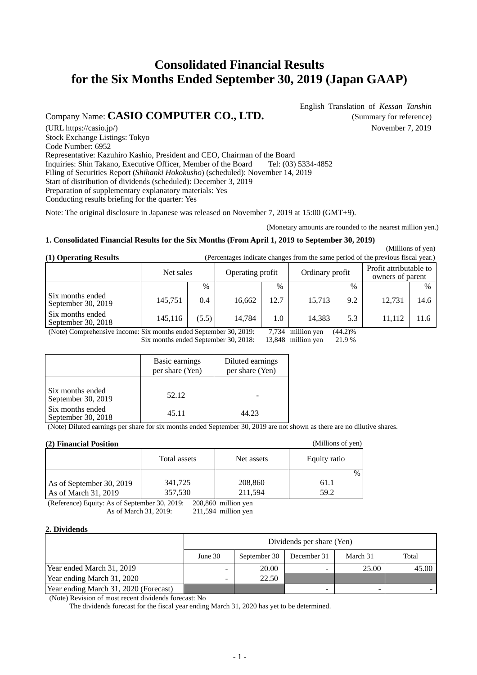# **Consolidated Financial Results for the Six Months Ended September 30, 2019 (Japan GAAP)**

Company Name: **CASIO COMPUTER CO., LTD.** (Summary for reference)

(URL https://casio.jp/) November 7, 2019 Stock Exchange Listings: Tokyo Code Number: 6952 Representative: Kazuhiro Kashio, President and CEO, Chairman of the Board Inquiries: Shin Takano, Executive Officer, Member of the Board Tel: (03) 5334-4852 Filing of Securities Report (*Shihanki Hokokusho*) (scheduled): November 14, 2019 Start of distribution of dividends (scheduled): December 3, 2019 Preparation of supplementary explanatory materials: Yes Conducting results briefing for the quarter: Yes

Note: The original disclosure in Japanese was released on November 7, 2019 at 15:00 (GMT+9).

(Monetary amounts are rounded to the nearest million yen.)

(Millions of yen)

### **1. Consolidated Financial Results for the Six Months (From April 1, 2019 to September 30, 2019)**

**(1) Operating Results** (Percentages indicate changes from the same period of the previous fiscal year.)

|                                        | Net sales |       | Operating profit |      | Ordinary profit |      | Profit attributable to<br>owners of parent |      |
|----------------------------------------|-----------|-------|------------------|------|-----------------|------|--------------------------------------------|------|
|                                        |           | $\%$  |                  | $\%$ |                 | $\%$ |                                            | $\%$ |
| Six months ended<br>September 30, 2019 | 145,751   | 0.4   | 16,662           | 12.7 | 15.713          | 9.2  | 12,731                                     | 14.6 |
| Six months ended<br>September 30, 2018 | 145,116   | (5.5) | 14.784           | 1.0  | 14,383          | 5.3  | 11.112                                     |      |

(Note) Comprehensive income: Six months ended September 30, 2019: 7,734 million yen (44.2)%<br>Six months ended September 30, 2018: 13,848 million yen 21.9 %

Six months ended September 30, 2018: 13,848 million yen 21.9 %

|                                        | Basic earnings<br>per share (Yen) | Diluted earnings<br>per share (Yen) |
|----------------------------------------|-----------------------------------|-------------------------------------|
| Six months ended<br>September 30, 2019 | 52.12                             |                                     |
| Six months ended<br>September 30, 2018 | 45.11                             | 44.23                               |

(Note) Diluted earnings per share for six months ended September 30, 2019 are not shown as there are no dilutive shares.

### **(2) Financial Position**

| (2) Гицански гозион      | $\mu$        |            |              |
|--------------------------|--------------|------------|--------------|
|                          | Total assets | Net assets | Equity ratio |
|                          |              |            | $\%$         |
| As of September 30, 2019 | 341,725      | 208,860    | 61.1         |
| As of March 31, 2019     | 357,530      | 211,594    | 59.2         |

(Reference) Equity: As of September 30, 2019: 208,860 million yen

As of March 31, 2019: 211,594 million yen

### **2. Dividends**

|                                       | Dividends per share (Yen)                          |       |  |       |       |  |  |
|---------------------------------------|----------------------------------------------------|-------|--|-------|-------|--|--|
|                                       | September 30<br>March 31<br>June 30<br>December 31 |       |  |       |       |  |  |
| Year ended March 31, 2019             | -                                                  | 20.00 |  | 25.00 | 45.00 |  |  |
| Year ending March 31, 2020            | -                                                  | 22.50 |  |       |       |  |  |
| Year ending March 31, 2020 (Forecast) |                                                    |       |  |       |       |  |  |

(Note) Revision of most recent dividends forecast: No

The dividends forecast for the fiscal year ending March 31, 2020 has yet to be determined.

English Translation of *Kessan Tanshin*

(Millions of yen)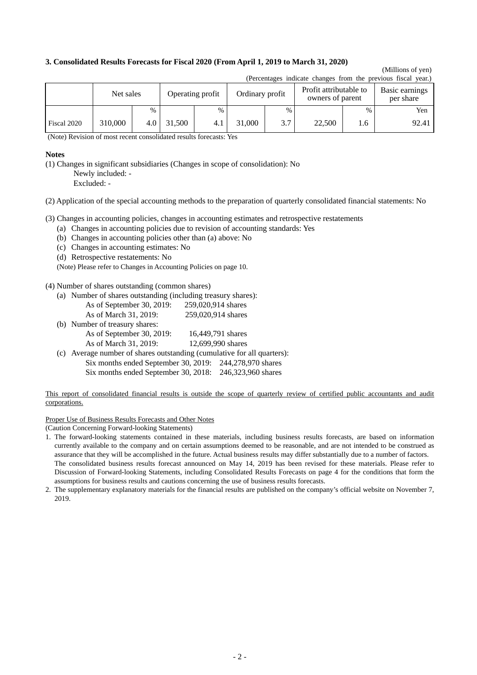### **3. Consolidated Results Forecasts for Fiscal 2020 (From April 1, 2019 to March 31, 2020)**

#### (Millions of yen)  $(Dar $)$  indicate changes from the previous fiscal year.)$

|             | recentages indicate changes from the previous fiscal year. |      |                  |      |                 |      |                                            |      |                             |  |
|-------------|------------------------------------------------------------|------|------------------|------|-----------------|------|--------------------------------------------|------|-----------------------------|--|
|             | Net sales                                                  |      | Operating profit |      | Ordinary profit |      | Profit attributable to<br>owners of parent |      | Basic earnings<br>per share |  |
|             |                                                            | $\%$ |                  | $\%$ |                 | $\%$ |                                            | $\%$ | Yen                         |  |
| Fiscal 2020 | 310,000                                                    | 4.0  | 1,500            | 4.1  | 31,000          | 3.7  | 22,500                                     | 1.6  | 92.41                       |  |

(Note) Revision of most recent consolidated results forecasts: Yes

#### **Notes**

(1) Changes in significant subsidiaries (Changes in scope of consolidation): No

Newly included: -

Excluded: -

(2) Application of the special accounting methods to the preparation of quarterly consolidated financial statements: No

(3) Changes in accounting policies, changes in accounting estimates and retrospective restatements

- (a) Changes in accounting policies due to revision of accounting standards: Yes
- (b) Changes in accounting policies other than (a) above: No
- (c) Changes in accounting estimates: No
- (d) Retrospective restatements: No

(Note) Please refer to Changes in Accounting Policies on page 10.

(4) Number of shares outstanding (common shares)

(a) Number of shares outstanding (including treasury shares):

| As of September 30, 2019: | 259,020,914 shares |
|---------------------------|--------------------|
| As of March 31, 2019:     | 259,020,914 shares |

(b) Number of treasury shares:

| As of September 30, 2019: | 16,449,791 shares |
|---------------------------|-------------------|
| As of March 31, 2019:     | 12,699,990 shares |

(c) Average number of shares outstanding (cumulative for all quarters): Six months ended September 30, 2019: 244,278,970 shares

Six months ended September 30, 2018: 246,323,960 shares

This report of consolidated financial results is outside the scope of quarterly review of certified public accountants and audit corporations.

Proper Use of Business Results Forecasts and Other Notes

(Caution Concerning Forward-looking Statements)

1. The forward-looking statements contained in these materials, including business results forecasts, are based on information currently available to the company and on certain assumptions deemed to be reasonable, and are not intended to be construed as assurance that they will be accomplished in the future. Actual business results may differ substantially due to a number of factors. The consolidated business results forecast announced on May 14, 2019 has been revised for these materials. Please refer to Discussion of Forward-looking Statements, including Consolidated Results Forecasts on page 4 for the conditions that form the assumptions for business results and cautions concerning the use of business results forecasts.

2. The supplementary explanatory materials for the financial results are published on the company's official website on November 7, 2019.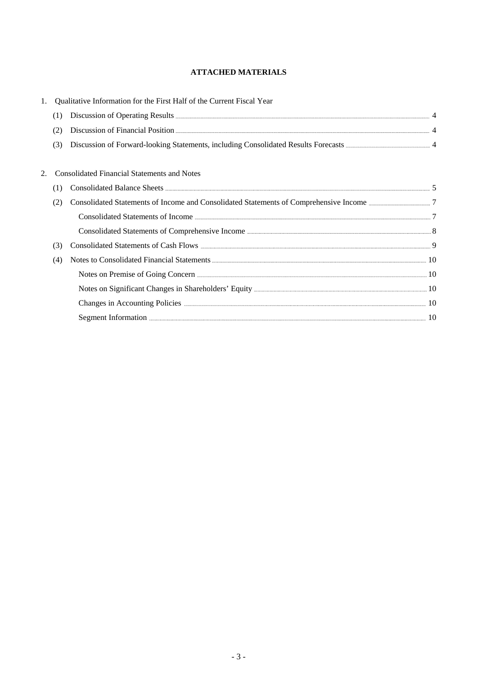### **ATTACHED MATERIALS**

|    |     | Qualitative Information for the First Half of the Current Fiscal Year                                                                                                                                                                              |  |
|----|-----|----------------------------------------------------------------------------------------------------------------------------------------------------------------------------------------------------------------------------------------------------|--|
|    | (1) | Discussion of Operating Results <b>Executes</b> 4                                                                                                                                                                                                  |  |
|    | (2) |                                                                                                                                                                                                                                                    |  |
|    | (3) |                                                                                                                                                                                                                                                    |  |
|    |     |                                                                                                                                                                                                                                                    |  |
| 2. |     | <b>Consolidated Financial Statements and Notes</b>                                                                                                                                                                                                 |  |
|    | (1) |                                                                                                                                                                                                                                                    |  |
|    | (2) |                                                                                                                                                                                                                                                    |  |
|    |     |                                                                                                                                                                                                                                                    |  |
|    |     |                                                                                                                                                                                                                                                    |  |
|    | (3) |                                                                                                                                                                                                                                                    |  |
|    | (4) | Notes to Consolidated Financial Statements <b>Exercise Consolidated</b> Financial Statements <b>Exercise Consolidated</b> Financial Statements <b>Exercise Consolidated</b> Financial Statements <b>Exercise Consolidated</b> Financial Statements |  |
|    |     | Notes on Premise of Going Concern <b>Exercise Contact Concern</b> 10                                                                                                                                                                               |  |
|    |     |                                                                                                                                                                                                                                                    |  |
|    |     | Changes in Accounting Policies <b>Election</b> 2012 10                                                                                                                                                                                             |  |
|    |     |                                                                                                                                                                                                                                                    |  |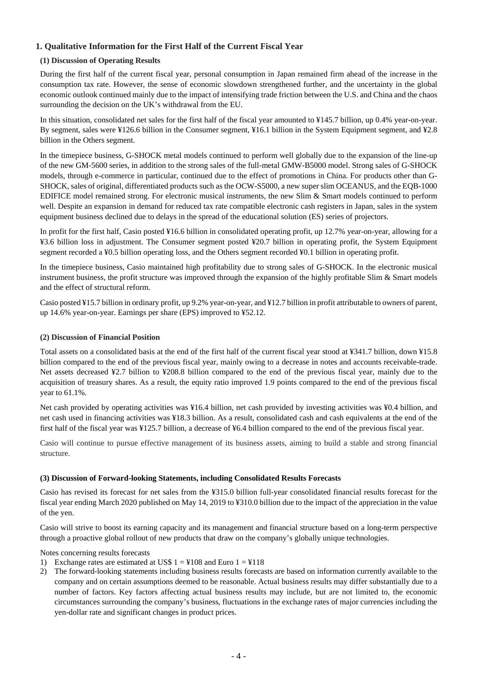## **1. Qualitative Information for the First Half of the Current Fiscal Year**

### **(1) Discussion of Operating Results**

During the first half of the current fiscal year, personal consumption in Japan remained firm ahead of the increase in the consumption tax rate. However, the sense of economic slowdown strengthened further, and the uncertainty in the global economic outlook continued mainly due to the impact of intensifying trade friction between the U.S. and China and the chaos surrounding the decision on the UK's withdrawal from the EU.

In this situation, consolidated net sales for the first half of the fiscal year amounted to ¥145.7 billion, up 0.4% year-on-year. By segment, sales were ¥126.6 billion in the Consumer segment, ¥16.1 billion in the System Equipment segment, and ¥2.8 billion in the Others segment.

In the timepiece business, G-SHOCK metal models continued to perform well globally due to the expansion of the line-up of the new GM-5600 series, in addition to the strong sales of the full-metal GMW-B5000 model. Strong sales of G-SHOCK models, through e-commerce in particular, continued due to the effect of promotions in China. For products other than G-SHOCK, sales of original, differentiated products such as the OCW-S5000, a new super slim OCEANUS, and the EQB-1000 EDIFICE model remained strong. For electronic musical instruments, the new Slim & Smart models continued to perform well. Despite an expansion in demand for reduced tax rate compatible electronic cash registers in Japan, sales in the system equipment business declined due to delays in the spread of the educational solution (ES) series of projectors.

In profit for the first half, Casio posted ¥16.6 billion in consolidated operating profit, up 12.7% year-on-year, allowing for a ¥3.6 billion loss in adjustment. The Consumer segment posted ¥20.7 billion in operating profit, the System Equipment segment recorded a ¥0.5 billion operating loss, and the Others segment recorded ¥0.1 billion in operating profit.

In the timepiece business, Casio maintained high profitability due to strong sales of G-SHOCK. In the electronic musical instrument business, the profit structure was improved through the expansion of the highly profitable Slim & Smart models and the effect of structural reform.

Casio posted ¥15.7 billion in ordinary profit, up 9.2% year-on-year, and ¥12.7 billion in profit attributable to owners of parent, up 14.6% year-on-year. Earnings per share (EPS) improved to ¥52.12.

### **(2) Discussion of Financial Position**

Total assets on a consolidated basis at the end of the first half of the current fiscal year stood at ¥341.7 billion, down ¥15.8 billion compared to the end of the previous fiscal year, mainly owing to a decrease in notes and accounts receivable-trade. Net assets decreased ¥2.7 billion to ¥208.8 billion compared to the end of the previous fiscal year, mainly due to the acquisition of treasury shares. As a result, the equity ratio improved 1.9 points compared to the end of the previous fiscal year to 61.1%.

Net cash provided by operating activities was ¥16.4 billion, net cash provided by investing activities was ¥0.4 billion, and net cash used in financing activities was ¥18.3 billion. As a result, consolidated cash and cash equivalents at the end of the first half of the fiscal year was ¥125.7 billion, a decrease of ¥6.4 billion compared to the end of the previous fiscal year.

Casio will continue to pursue effective management of its business assets, aiming to build a stable and strong financial structure.

### **(3) Discussion of Forward-looking Statements, including Consolidated Results Forecasts**

Casio has revised its forecast for net sales from the ¥315.0 billion full-year consolidated financial results forecast for the fiscal year ending March 2020 published on May 14, 2019 to ¥310.0 billion due to the impact of the appreciation in the value of the yen.

Casio will strive to boost its earning capacity and its management and financial structure based on a long-term perspective through a proactive global rollout of new products that draw on the company's globally unique technologies.

Notes concerning results forecasts

- 1) Exchange rates are estimated at US\$  $1 = 4108$  and Euro  $1 = 4118$
- 2) The forward-looking statements including business results forecasts are based on information currently available to the company and on certain assumptions deemed to be reasonable. Actual business results may differ substantially due to a number of factors. Key factors affecting actual business results may include, but are not limited to, the economic circumstances surrounding the company's business, fluctuations in the exchange rates of major currencies including the yen-dollar rate and significant changes in product prices.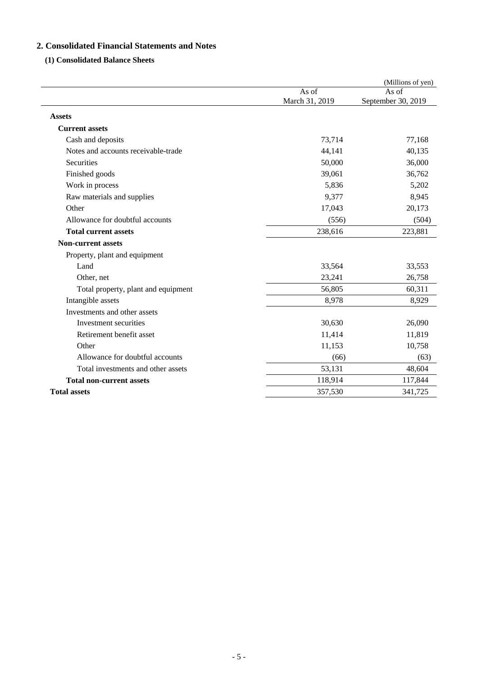## **2. Consolidated Financial Statements and Notes**

### **(1) Consolidated Balance Sheets**

|                                     |                | (Millions of yen)  |
|-------------------------------------|----------------|--------------------|
|                                     | As of          | As of              |
|                                     | March 31, 2019 | September 30, 2019 |
| <b>Assets</b>                       |                |                    |
| <b>Current assets</b>               |                |                    |
| Cash and deposits                   | 73,714         | 77,168             |
| Notes and accounts receivable-trade | 44,141         | 40,135             |
| Securities                          | 50,000         | 36,000             |
| Finished goods                      | 39,061         | 36,762             |
| Work in process                     | 5,836          | 5,202              |
| Raw materials and supplies          | 9,377          | 8,945              |
| Other                               | 17,043         | 20,173             |
| Allowance for doubtful accounts     | (556)          | (504)              |
| <b>Total current assets</b>         | 238,616        | 223,881            |
| <b>Non-current assets</b>           |                |                    |
| Property, plant and equipment       |                |                    |
| Land                                | 33,564         | 33,553             |
| Other, net                          | 23,241         | 26,758             |
| Total property, plant and equipment | 56,805         | 60,311             |
| Intangible assets                   | 8,978          | 8,929              |
| Investments and other assets        |                |                    |
| Investment securities               | 30,630         | 26,090             |
| Retirement benefit asset            | 11,414         | 11,819             |
| Other                               | 11,153         | 10,758             |
| Allowance for doubtful accounts     | (66)           | (63)               |
| Total investments and other assets  | 53,131         | 48,604             |
| <b>Total non-current assets</b>     | 118,914        | 117,844            |
| <b>Total assets</b>                 | 357,530        | 341,725            |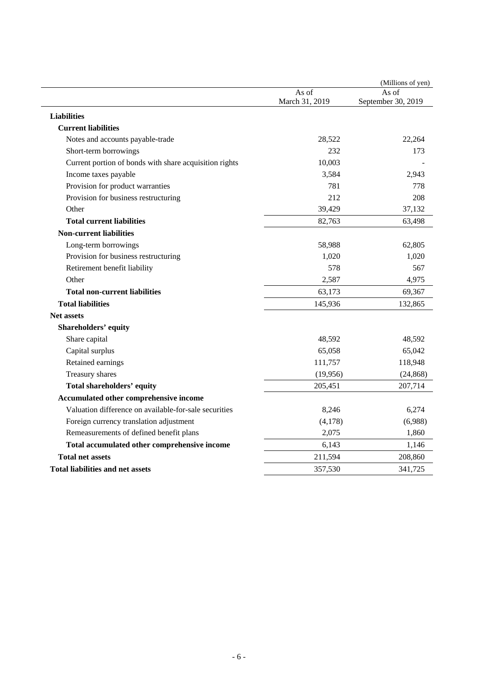|                                                        |                | (Millions of yen)  |
|--------------------------------------------------------|----------------|--------------------|
|                                                        | As of          | As of              |
|                                                        | March 31, 2019 | September 30, 2019 |
| <b>Liabilities</b>                                     |                |                    |
| <b>Current liabilities</b>                             |                |                    |
| Notes and accounts payable-trade                       | 28,522         | 22,264             |
| Short-term borrowings                                  | 232            | 173                |
| Current portion of bonds with share acquisition rights | 10,003         |                    |
| Income taxes payable                                   | 3,584          | 2,943              |
| Provision for product warranties                       | 781            | 778                |
| Provision for business restructuring                   | 212            | 208                |
| Other                                                  | 39,429         | 37,132             |
| <b>Total current liabilities</b>                       | 82,763         | 63,498             |
| <b>Non-current liabilities</b>                         |                |                    |
| Long-term borrowings                                   | 58,988         | 62,805             |
| Provision for business restructuring                   | 1,020          | 1,020              |
| Retirement benefit liability                           | 578            | 567                |
| Other                                                  | 2,587          | 4,975              |
| <b>Total non-current liabilities</b>                   | 63,173         | 69,367             |
| <b>Total liabilities</b>                               | 145,936        | 132,865            |
| <b>Net assets</b>                                      |                |                    |
| <b>Shareholders' equity</b>                            |                |                    |
| Share capital                                          | 48,592         | 48,592             |
| Capital surplus                                        | 65,058         | 65,042             |
| Retained earnings                                      | 111,757        | 118,948            |
| Treasury shares                                        | (19,956)       | (24, 868)          |
| Total shareholders' equity                             | 205,451        | 207,714            |
| Accumulated other comprehensive income                 |                |                    |
| Valuation difference on available-for-sale securities  | 8,246          | 6,274              |
| Foreign currency translation adjustment                | (4,178)        | (6,988)            |
| Remeasurements of defined benefit plans                | 2,075          | 1,860              |
| Total accumulated other comprehensive income           | 6,143          | 1,146              |
| <b>Total net assets</b>                                | 211,594        | 208,860            |
| <b>Total liabilities and net assets</b>                | 357,530        | 341,725            |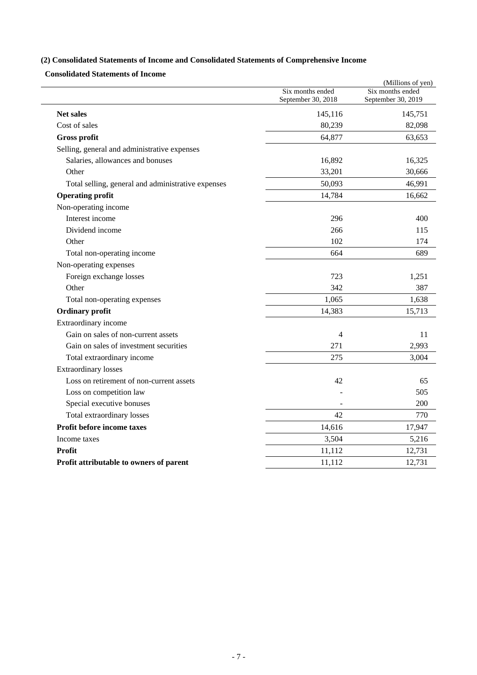## **(2) Consolidated Statements of Income and Consolidated Statements of Comprehensive Income**

**Consolidated Statements of Income** 

|                                                    |                                        | (Millions of yen)                      |
|----------------------------------------------------|----------------------------------------|----------------------------------------|
|                                                    | Six months ended<br>September 30, 2018 | Six months ended<br>September 30, 2019 |
| <b>Net sales</b>                                   | 145,116                                | 145,751                                |
| Cost of sales                                      | 80,239                                 | 82,098                                 |
| <b>Gross profit</b>                                | 64,877                                 | 63,653                                 |
| Selling, general and administrative expenses       |                                        |                                        |
| Salaries, allowances and bonuses                   | 16,892                                 | 16,325                                 |
| Other                                              | 33,201                                 | 30,666                                 |
| Total selling, general and administrative expenses | 50,093                                 | 46,991                                 |
| <b>Operating profit</b>                            | 14,784                                 | 16,662                                 |
| Non-operating income                               |                                        |                                        |
| Interest income                                    | 296                                    | 400                                    |
| Dividend income                                    | 266                                    | 115                                    |
| Other                                              | 102                                    | 174                                    |
| Total non-operating income                         | 664                                    | 689                                    |
| Non-operating expenses                             |                                        |                                        |
| Foreign exchange losses                            | 723                                    | 1,251                                  |
| Other                                              | 342                                    | 387                                    |
| Total non-operating expenses                       | 1,065                                  | 1,638                                  |
| <b>Ordinary profit</b>                             | 14,383                                 | 15,713                                 |
| Extraordinary income                               |                                        |                                        |
| Gain on sales of non-current assets                | 4                                      | 11                                     |
| Gain on sales of investment securities             | 271                                    | 2,993                                  |
| Total extraordinary income                         | 275                                    | 3,004                                  |
| <b>Extraordinary losses</b>                        |                                        |                                        |
| Loss on retirement of non-current assets           | 42                                     | 65                                     |
| Loss on competition law                            |                                        | 505                                    |
| Special executive bonuses                          |                                        | 200                                    |
| Total extraordinary losses                         | 42                                     | 770                                    |
| Profit before income taxes                         | 14,616                                 | 17,947                                 |
| Income taxes                                       | 3,504                                  | 5,216                                  |
| <b>Profit</b>                                      | 11,112                                 | 12,731                                 |
| Profit attributable to owners of parent            | 11,112                                 | 12,731                                 |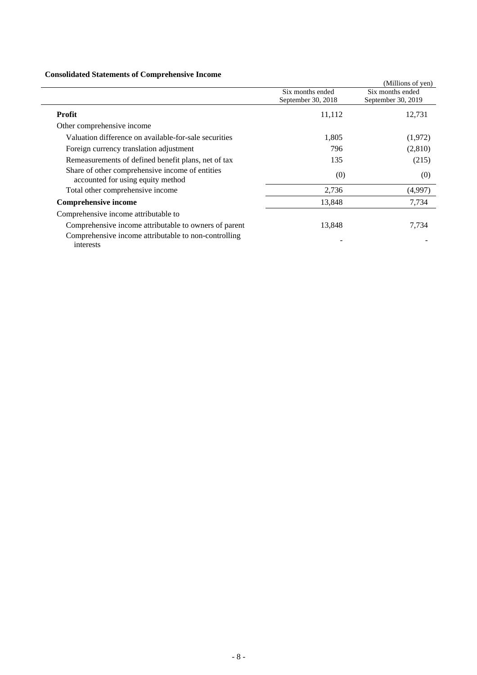### **Consolidated Statements of Comprehensive Income**

| Consolidated Statements of Complements of Income                                     |                                        |                                        |
|--------------------------------------------------------------------------------------|----------------------------------------|----------------------------------------|
|                                                                                      |                                        | (Millions of yen)                      |
|                                                                                      | Six months ended<br>September 30, 2018 | Six months ended<br>September 30, 2019 |
| <b>Profit</b>                                                                        | 11,112                                 | 12,731                                 |
| Other comprehensive income                                                           |                                        |                                        |
| Valuation difference on available-for-sale securities                                | 1,805                                  | (1,972)                                |
| Foreign currency translation adjustment                                              | 796                                    | (2,810)                                |
| Remeasurements of defined benefit plans, net of tax                                  | 135                                    | (215)                                  |
| Share of other comprehensive income of entities<br>accounted for using equity method | (0)                                    | (0)                                    |
| Total other comprehensive income                                                     | 2,736                                  | (4,997)                                |
| <b>Comprehensive income</b>                                                          | 13,848                                 | 7,734                                  |
| Comprehensive income attributable to                                                 |                                        |                                        |
| Comprehensive income attributable to owners of parent                                | 13,848                                 | 7.734                                  |
| Comprehensive income attributable to non-controlling<br>interests                    |                                        |                                        |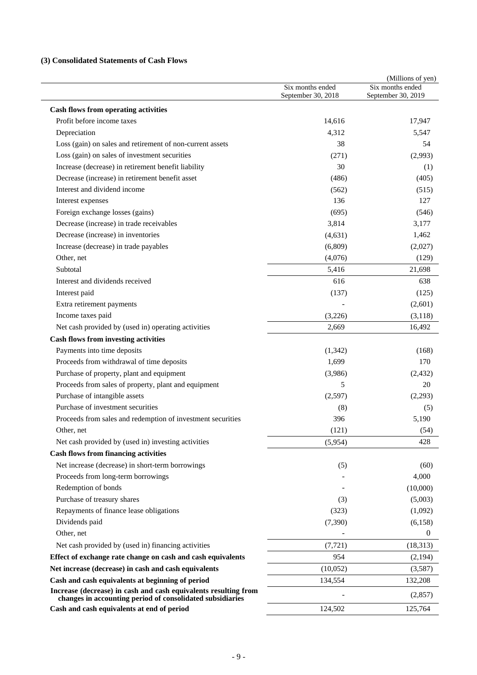## **(3) Consolidated Statements of Cash Flows**

|                                                                                                                              | Six months ended   | (Millions of yen)<br>Six months ended |
|------------------------------------------------------------------------------------------------------------------------------|--------------------|---------------------------------------|
|                                                                                                                              | September 30, 2018 | September 30, 2019                    |
| <b>Cash flows from operating activities</b>                                                                                  |                    |                                       |
| Profit before income taxes                                                                                                   | 14,616             | 17,947                                |
| Depreciation                                                                                                                 | 4,312              | 5,547                                 |
| Loss (gain) on sales and retirement of non-current assets                                                                    | 38                 | 54                                    |
| Loss (gain) on sales of investment securities                                                                                | (271)              | (2,993)                               |
| Increase (decrease) in retirement benefit liability                                                                          | 30                 | (1)                                   |
| Decrease (increase) in retirement benefit asset                                                                              | (486)              | (405)                                 |
| Interest and dividend income                                                                                                 | (562)              | (515)                                 |
| Interest expenses                                                                                                            | 136                | 127                                   |
| Foreign exchange losses (gains)                                                                                              | (695)              | (546)                                 |
| Decrease (increase) in trade receivables                                                                                     | 3,814              | 3,177                                 |
| Decrease (increase) in inventories                                                                                           | (4, 631)           | 1,462                                 |
| Increase (decrease) in trade payables                                                                                        | (6,809)            | (2,027)                               |
| Other, net                                                                                                                   | (4,076)            | (129)                                 |
| Subtotal                                                                                                                     | 5,416              | 21,698                                |
| Interest and dividends received                                                                                              | 616                | 638                                   |
| Interest paid                                                                                                                | (137)              | (125)                                 |
| Extra retirement payments                                                                                                    |                    | (2,601)                               |
| Income taxes paid                                                                                                            | (3,226)            | (3, 118)                              |
| Net cash provided by (used in) operating activities                                                                          | 2,669              | 16,492                                |
| <b>Cash flows from investing activities</b>                                                                                  |                    |                                       |
| Payments into time deposits                                                                                                  | (1,342)            | (168)                                 |
| Proceeds from withdrawal of time deposits                                                                                    | 1,699              | 170                                   |
| Purchase of property, plant and equipment                                                                                    | (3,986)            | (2, 432)                              |
| Proceeds from sales of property, plant and equipment                                                                         | 5                  | 20                                    |
| Purchase of intangible assets                                                                                                | (2,597)            | (2,293)                               |
| Purchase of investment securities                                                                                            | (8)                | (5)                                   |
| Proceeds from sales and redemption of investment securities                                                                  | 396                | 5,190                                 |
| Other, net                                                                                                                   | (121)              | (54)                                  |
| Net cash provided by (used in) investing activities                                                                          | (5,954)            | 428                                   |
| <b>Cash flows from financing activities</b>                                                                                  |                    |                                       |
| Net increase (decrease) in short-term borrowings                                                                             | (5)                | (60)                                  |
| Proceeds from long-term borrowings                                                                                           |                    | 4,000                                 |
| Redemption of bonds                                                                                                          |                    | (10,000)                              |
| Purchase of treasury shares                                                                                                  | (3)                | (5,003)                               |
| Repayments of finance lease obligations                                                                                      | (323)              | (1,092)                               |
| Dividends paid                                                                                                               | (7, 390)           | (6,158)                               |
| Other, net                                                                                                                   |                    | $\overline{0}$                        |
| Net cash provided by (used in) financing activities                                                                          | (7, 721)           | (18, 313)                             |
| Effect of exchange rate change on cash and cash equivalents                                                                  | 954                | (2,194)                               |
| Net increase (decrease) in cash and cash equivalents                                                                         | (10,052)           |                                       |
| Cash and cash equivalents at beginning of period                                                                             | 134,554            | (3,587)<br>132,208                    |
| Increase (decrease) in cash and cash equivalents resulting from<br>changes in accounting period of consolidated subsidiaries |                    | (2,857)                               |
| Cash and cash equivalents at end of period                                                                                   | 124,502            | 125,764                               |